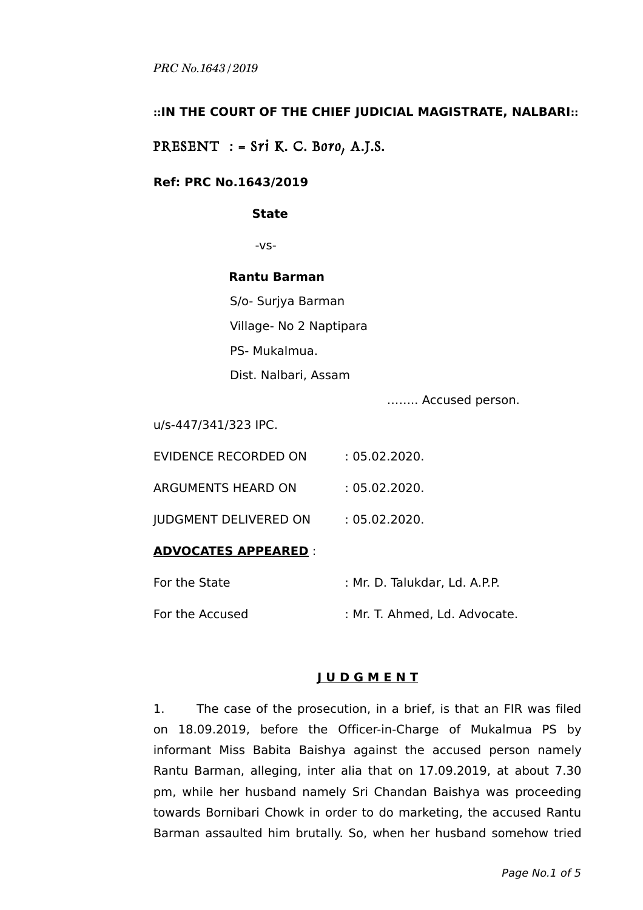## **::IN THE COURT OF THE CHIEF JUDICIAL MAGISTRATE, NALBARI::**

PRESENT  $:$  = Sri K. C. Boro, A.J.S.

## **Ref: PRC No.1643/2019**

#### **State**

-vs-

## **Rantu Barman**

S/o- Surjya Barman Village- No 2 Naptipara PS- Mukalmua. Dist. Nalbari, Assam

…….. Accused person.

u/s-447/341/323 IPC.

| : 05.02.2020. |
|---------------|
| : 05.02.2020. |
| : 05.02.2020. |
|               |

# **ADVOCATES APPEARED** :

| For the State   | : Mr. D. Talukdar, Ld. A.P.P. |
|-----------------|-------------------------------|
| For the Accused | : Mr. T. Ahmed, Ld. Advocate. |

## **J U D G M E N T**

1. The case of the prosecution, in a brief, is that an FIR was filed on 18.09.2019, before the Officer-in-Charge of Mukalmua PS by informant Miss Babita Baishya against the accused person namely Rantu Barman, alleging, inter alia that on 17.09.2019, at about 7.30 pm, while her husband namely Sri Chandan Baishya was proceeding towards Bornibari Chowk in order to do marketing, the accused Rantu Barman assaulted him brutally. So, when her husband somehow tried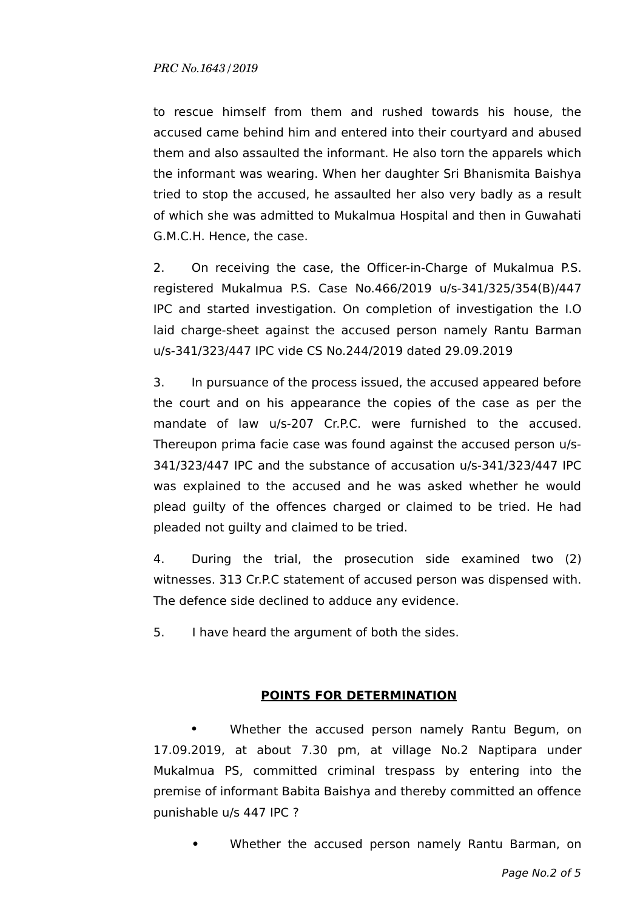to rescue himself from them and rushed towards his house, the accused came behind him and entered into their courtyard and abused them and also assaulted the informant. He also torn the apparels which the informant was wearing. When her daughter Sri Bhanismita Baishya tried to stop the accused, he assaulted her also very badly as a result of which she was admitted to Mukalmua Hospital and then in Guwahati G.M.C.H. Hence, the case.

2. On receiving the case, the Officer-in-Charge of Mukalmua P.S. registered Mukalmua P.S. Case No.466/2019 u/s-341/325/354(B)/447 IPC and started investigation. On completion of investigation the I.O laid charge-sheet against the accused person namely Rantu Barman u/s-341/323/447 IPC vide CS No.244/2019 dated 29.09.2019

3. In pursuance of the process issued, the accused appeared before the court and on his appearance the copies of the case as per the mandate of law u/s-207 Cr.P.C. were furnished to the accused. Thereupon prima facie case was found against the accused person u/s-341/323/447 IPC and the substance of accusation u/s-341/323/447 IPC was explained to the accused and he was asked whether he would plead guilty of the offences charged or claimed to be tried. He had pleaded not guilty and claimed to be tried.

4. During the trial, the prosecution side examined two (2) witnesses. 313 Cr.P.C statement of accused person was dispensed with. The defence side declined to adduce any evidence.

5. I have heard the argument of both the sides.

## **POINTS FOR DETERMINATION**

**•** Whether the accused person namely Rantu Begum, on 17.09.2019, at about 7.30 pm, at village No.2 Naptipara under Mukalmua PS, committed criminal trespass by entering into the premise of informant Babita Baishya and thereby committed an offence punishable u/s 447 IPC ?

**•** Whether the accused person namely Rantu Barman, on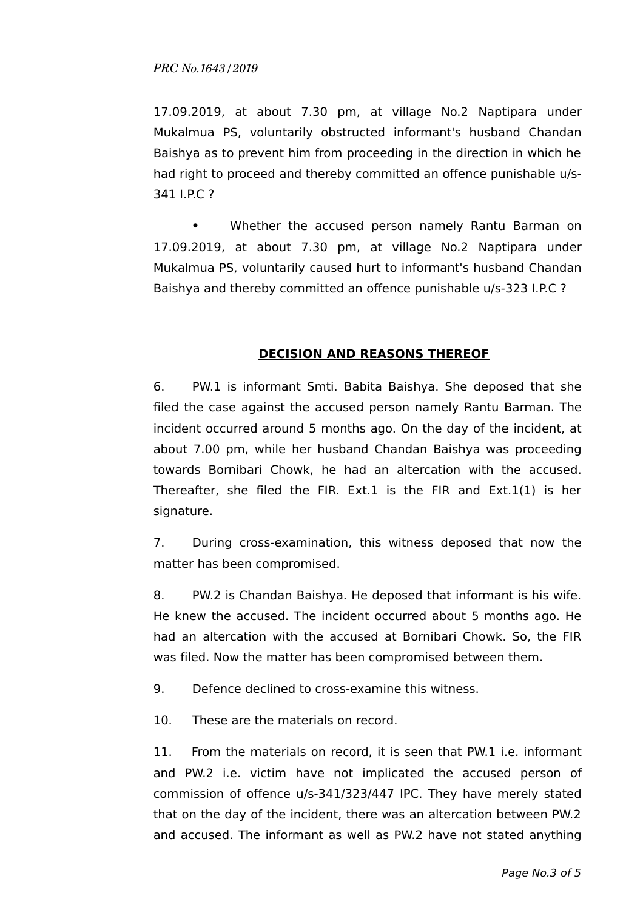17.09.2019, at about 7.30 pm, at village No.2 Naptipara under Mukalmua PS, voluntarily obstructed informant's husband Chandan Baishya as to prevent him from proceeding in the direction in which he had right to proceed and thereby committed an offence punishable u/s-341 I.P.C ?

**•** Whether the accused person namely Rantu Barman on 17.09.2019, at about 7.30 pm, at village No.2 Naptipara under Mukalmua PS, voluntarily caused hurt to informant's husband Chandan Baishya and thereby committed an offence punishable u/s-323 I.P.C ?

#### **DECISION AND REASONS THEREOF**

6. PW.1 is informant Smti. Babita Baishya. She deposed that she filed the case against the accused person namely Rantu Barman. The incident occurred around 5 months ago. On the day of the incident, at about 7.00 pm, while her husband Chandan Baishya was proceeding towards Bornibari Chowk, he had an altercation with the accused. Thereafter, she filed the FIR. Ext.1 is the FIR and Ext.1(1) is her signature.

7. During cross-examination, this witness deposed that now the matter has been compromised.

8. PW.2 is Chandan Baishya. He deposed that informant is his wife. He knew the accused. The incident occurred about 5 months ago. He had an altercation with the accused at Bornibari Chowk. So, the FIR was filed. Now the matter has been compromised between them.

9. Defence declined to cross-examine this witness.

10. These are the materials on record.

11. From the materials on record, it is seen that PW.1 i.e. informant and PW.2 i.e. victim have not implicated the accused person of commission of offence u/s-341/323/447 IPC. They have merely stated that on the day of the incident, there was an altercation between PW.2 and accused. The informant as well as PW.2 have not stated anything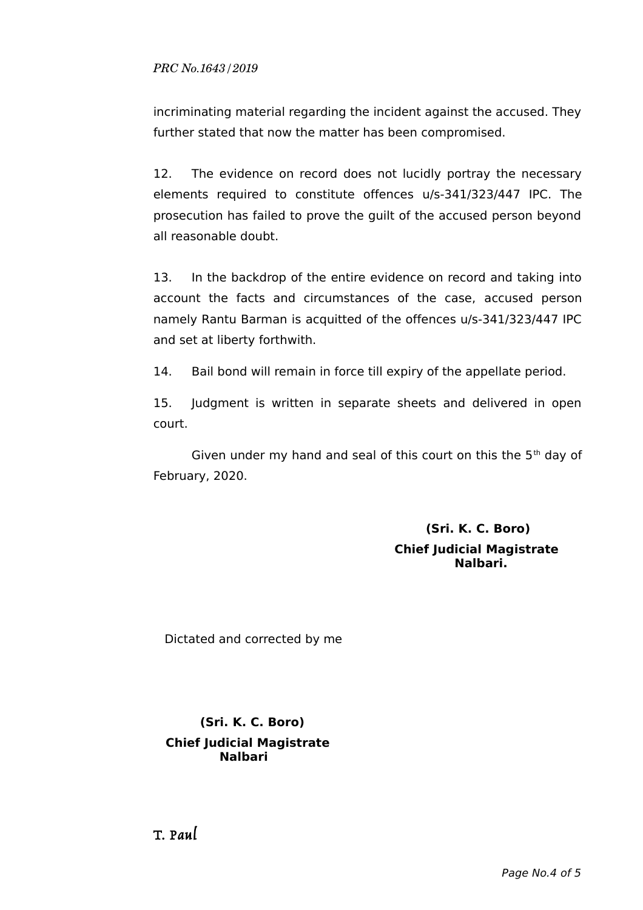incriminating material regarding the incident against the accused. They further stated that now the matter has been compromised.

12. The evidence on record does not lucidly portray the necessary elements required to constitute offences u/s-341/323/447 IPC. The prosecution has failed to prove the guilt of the accused person beyond all reasonable doubt.

13. In the backdrop of the entire evidence on record and taking into account the facts and circumstances of the case, accused person namely Rantu Barman is acquitted of the offences u/s-341/323/447 IPC and set at liberty forthwith.

14. Bail bond will remain in force till expiry of the appellate period.

15. Judgment is written in separate sheets and delivered in open court.

Given under my hand and seal of this court on this the  $5<sup>th</sup>$  day of February, 2020.

> **(Sri. K. C. Boro) Chief Judicial Magistrate Nalbari.**

Dictated and corrected by me

# **(Sri. K. C. Boro) Chief Judicial Magistrate Nalbari**